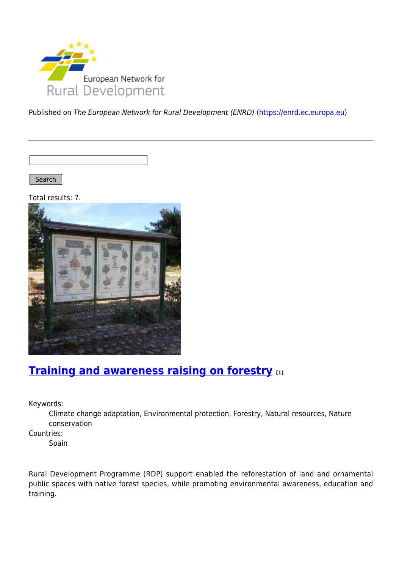

Published on The European Network for Rural Development (ENRD) [\(https://enrd.ec.europa.eu](https://enrd.ec.europa.eu))

Search

Total results: 7.



## **[Training and awareness raising on forestry](https://enrd.ec.europa.eu/projects-practice/training-and-awareness-raising-forestry_en) [1]**

Keywords:

Climate change adaptation, Environmental protection, Forestry, Natural resources, Nature conservation

Countries:

Spain

Rural Development Programme (RDP) support enabled the reforestation of land and ornamental public spaces with native forest species, while promoting environmental awareness, education and training.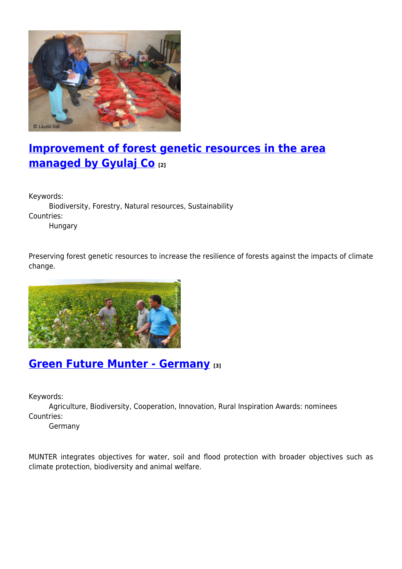

# **[Improvement of forest genetic resources in the area](https://enrd.ec.europa.eu/projects-practice/improvement-forest-genetic-resources-area-managed-gyulaj-co_en) [managed by Gyulaj Co](https://enrd.ec.europa.eu/projects-practice/improvement-forest-genetic-resources-area-managed-gyulaj-co_en) [2]**

Keywords:

Biodiversity, Forestry, Natural resources, Sustainability Countries: Hungary

Preserving forest genetic resources to increase the resilience of forests against the impacts of climate change.



### **[Green Future Munter - Germany](https://enrd.ec.europa.eu/projects-practice/green-future-munter-germany_en) [3]**

Keywords:

Agriculture, Biodiversity, Cooperation, Innovation, Rural Inspiration Awards: nominees Countries:

Germany

MUNTER integrates objectives for water, soil and flood protection with broader objectives such as climate protection, biodiversity and animal welfare.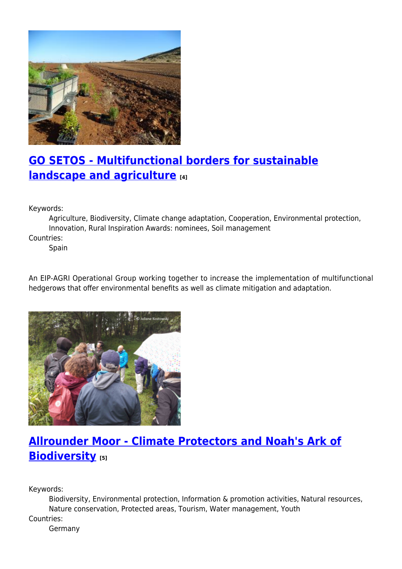

# **[GO SETOS - Multifunctional borders for sustainable](https://enrd.ec.europa.eu/projects-practice/go-setos-multifunctional-borders-sustainable-landscape-and-agriculture_en) [landscape and agriculture](https://enrd.ec.europa.eu/projects-practice/go-setos-multifunctional-borders-sustainable-landscape-and-agriculture_en) [4]**

Keywords:

Agriculture, Biodiversity, Climate change adaptation, Cooperation, Environmental protection, Innovation, Rural Inspiration Awards: nominees, Soil management

Countries:

Spain

An EIP-AGRI Operational Group working together to increase the implementation of multifunctional hedgerows that offer environmental benefits as well as climate mitigation and adaptation.



# **[Allrounder Moor - Climate Protectors and Noah's Ark of](https://enrd.ec.europa.eu/projects-practice/allrounder-moor-climate-protectors-and-noahs-ark-biodiversity_en) [Biodiversity](https://enrd.ec.europa.eu/projects-practice/allrounder-moor-climate-protectors-and-noahs-ark-biodiversity_en) [5]**

Keywords:

Biodiversity, Environmental protection, Information & promotion activities, Natural resources, Nature conservation, Protected areas, Tourism, Water management, Youth

Countries:

Germany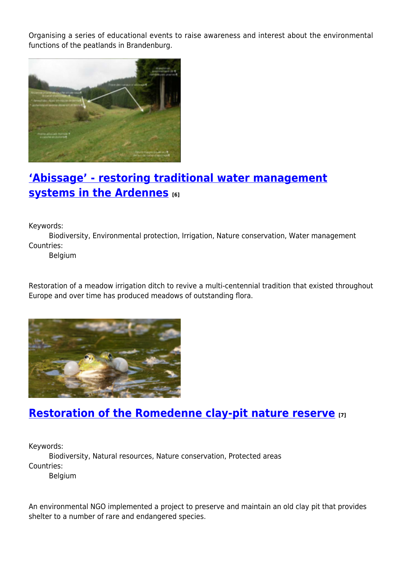Organising a series of educational events to raise awareness and interest about the environmental functions of the peatlands in Brandenburg.



## **['Abissage' - restoring traditional water management](https://enrd.ec.europa.eu/projects-practice/abissage-restoring-traditional-water-management-systems-ardennes_en) [systems in the Ardennes](https://enrd.ec.europa.eu/projects-practice/abissage-restoring-traditional-water-management-systems-ardennes_en) [6]**

Keywords:

Biodiversity, Environmental protection, Irrigation, Nature conservation, Water management Countries:

Belgium

Restoration of a meadow irrigation ditch to revive a multi-centennial tradition that existed throughout Europe and over time has produced meadows of outstanding flora.



## **[Restoration of the Romedenne clay-pit nature reserve](https://enrd.ec.europa.eu/projects-practice/restoration-romedenne-clay-pit-nature-reserve_en) [7]**

Keywords:

Biodiversity, Natural resources, Nature conservation, Protected areas Countries:

Belgium

An environmental NGO implemented a project to preserve and maintain an old clay pit that provides shelter to a number of rare and endangered species.